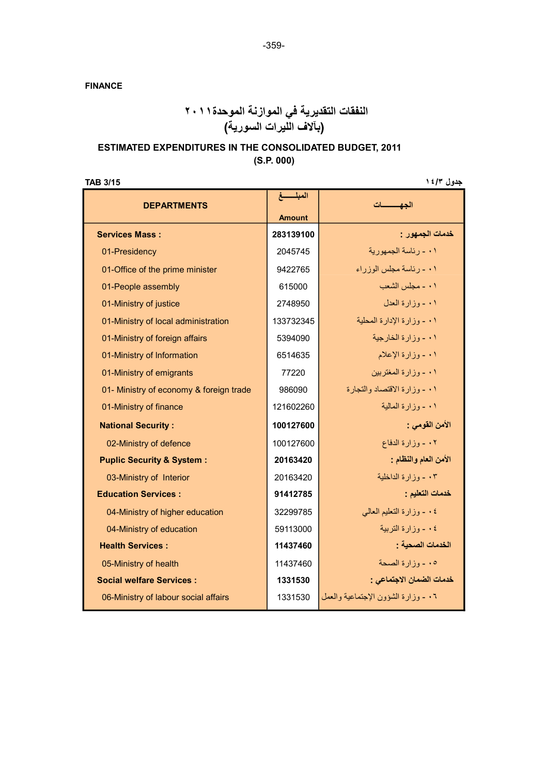FINANCE

## النفقات التقديرية في الموازنة الموحدة٢٠١١ (بآلاف الليرات السورية)

### ESTIMATED EXPENDITURES IN THE CONSOLIDATED BUDGET, 2011 (S.P. 000)

جدول ١٤/٣ م عدول ١٤/٣ م تحديد المستخدم المستخدم المستخدم المستخدم المستخدم المستخدم المستخدم المستخدم المستخدم

| <b>DEPARTMENTS</b>                      | المبلسسغ      | الحهسسسات                           |
|-----------------------------------------|---------------|-------------------------------------|
|                                         | <b>Amount</b> |                                     |
| <b>Services Mass:</b>                   | 283139100     | خدمات الجمهور :                     |
| 01-Presidency                           | 2045745       | ٠١ ـ رئاسة الجمهورية                |
| 01-Office of the prime minister         | 9422765       | ٠١ - رئاسة مجلس الوزراء             |
| 01-People assembly                      | 615000        | ٠١ - مجلس الشعب                     |
| 01-Ministry of justice                  | 2748950       | ٠١ - وزارة العدل                    |
| 01-Ministry of local administration     | 133732345     | ٠١ - وزارة الإدارة المحلية          |
| 01-Ministry of foreign affairs          | 5394090       | ٠١ - وزارة الخارجية                 |
| 01-Ministry of Information              | 6514635       | ٠١ - وزارة الإعلام                  |
| 01-Ministry of emigrants                | 77220         | ۰۱ - وزارة المغتربين                |
| 01- Ministry of economy & foreign trade | 986090        | ٠١ - وزارة الاقتصاد والتجارة        |
| 01-Ministry of finance                  | 121602260     | ۰۱ - وزارة المالبة                  |
| <b>National Security:</b>               | 100127600     | الأمن القومي :                      |
| 02-Ministry of defence                  | 100127600     | ٠٢ - وزارة الدفاع                   |
| <b>Puplic Security &amp; System:</b>    | 20163420      | الأمن العام والنظام :               |
| 03-Ministry of Interior                 | 20163420      | ٠٣ - وزارة الداخلية                 |
| <b>Education Services:</b>              | 91412785      | خدمات التعليم :                     |
| 04-Ministry of higher education         | 32299785      | ٠٤ - وزارة التعليم العالمي          |
| 04-Ministry of education                | 59113000      | ٤ ٠ - وزارة التربية                 |
| <b>Health Services:</b>                 | 11437460      | الخدمات الصحبة :                    |
| 05-Ministry of health                   | 11437460      | ٠٥ - وزارة الصحة                    |
| <b>Social welfare Services:</b>         | 1331530       | خدمات الضمان الاجتماعي :            |
| 06-Ministry of labour social affairs    | 1331530       | ٠٦ - وزارة الشؤون الإجتماعية والعمل |